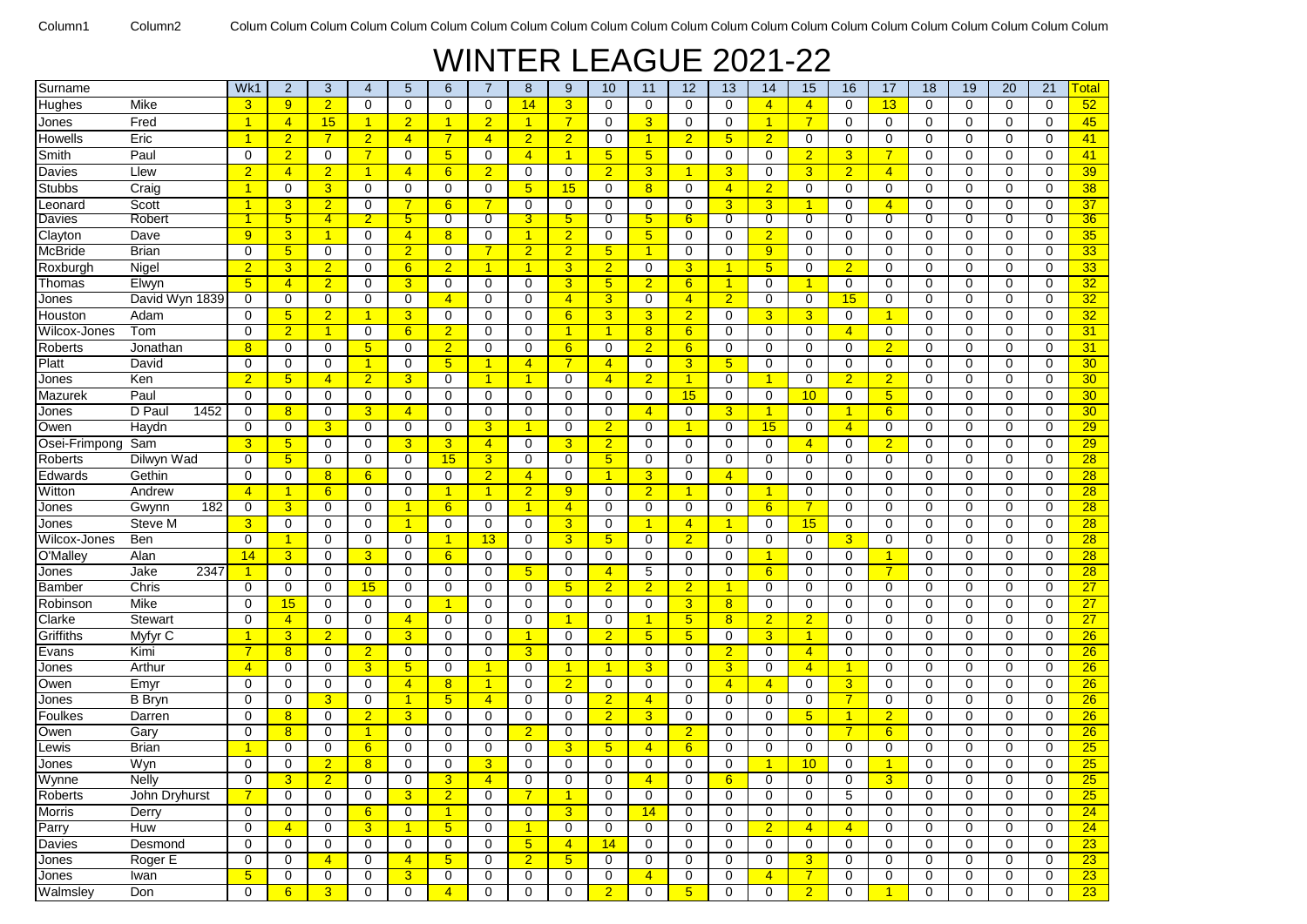## WINTER LEAGUE 2021-22

| Surname        |                | Wk1                  | $\overline{2}$          | 3                          | $\overline{4}$       | 5                   | 6                    | 7                | 8                                | 9                                | 10             | 11                         | 12                   | 13                   | 14             | 15                  | 16             | 17              | 18          | 19                      | 20          | 21               | Гоtal           |
|----------------|----------------|----------------------|-------------------------|----------------------------|----------------------|---------------------|----------------------|------------------|----------------------------------|----------------------------------|----------------|----------------------------|----------------------|----------------------|----------------|---------------------|----------------|-----------------|-------------|-------------------------|-------------|------------------|-----------------|
| Hughes         | Mike           | $\overline{3}$       | 9                       | $\overline{2}$             | $\Omega$             | $\mathbf 0$         | $\Omega$             | $\mathbf 0$      | 14                               | 3                                | 0              | $\mathbf 0$                | $\mathbf 0$          | 0                    | $\overline{4}$ | $\overline{4}$      | $\mathbf 0$    | 13              | $\Omega$    | $\Omega$                | $\Omega$    | $\mathbf 0$      | 52              |
| Jones          | Fred           | $\overline{1}$       | $\overline{4}$          | 15                         | $\overline{1}$       | $\overline{2}$      | $\blacktriangleleft$ | $\overline{2}$   | $\overline{1}$                   | $\overline{7}$                   | 0              | 3                          | 0                    | $\mathbf 0$          | $\overline{1}$ | $\overline{7}$      | $\mathbf 0$    | $\mathbf 0$     | $\mathbf 0$ | $\mathbf 0$             | $\mathbf 0$ | $\mathbf 0$      | 45              |
| Howells        | Eric           | $\blacktriangleleft$ | $\overline{2}$          | $\overline{7}$             | $\overline{2}$       | $\overline{4}$      | $\overline{7}$       | $\overline{4}$   | $\overline{2}$                   | $\overline{2}$                   | 0              | $\blacktriangleleft$       | $\overline{2}$       | 5                    | $\overline{2}$ | $\mathbf 0$         | $\mathbf 0$    | 0               | $\mathbf 0$ | $\mathbf 0$             | 0           | $\mathbf 0$      | 41              |
| Smith          | Paul           | $\Omega$             | $\overline{2}$          | $\mathbf 0$                | $\overline{7}$       | $\mathbf 0$         | 5                    | 0                | $\overline{4}$                   | $\overline{1}$                   | 5              | 5 <sub>5</sub>             | 0                    | $\mathbf 0$          | 0              | $\overline{2}$      | 3              | 7               | 0           | $\Omega$                | 0           | $\Omega$         | 41              |
| Davies         | Llew           | $\overline{2}$       | $\overline{4}$          | $\overline{2}$             | $\overline{1}$       | $\overline{4}$      | 6                    | $\overline{2}$   | $\mathbf 0$                      | $\mathbf 0$                      | $\overline{2}$ | 3                          | 1                    | 3                    | $\mathbf 0$    | 3 <sup>2</sup>      | $\overline{2}$ | $\overline{4}$  | 0           | $\Omega$                | $\mathbf 0$ | $\mathbf 0$      | 39              |
| <b>Stubbs</b>  | Craig          | $\blacktriangleleft$ | 0                       | $\overline{3}$             | $\Omega$             | $\mathbf 0$         | $\Omega$             | $\mathbf 0$      | $5\phantom{.0}$                  | 15                               | 0              | 8                          | 0                    | $\overline{4}$       | $\overline{2}$ | 0                   | $\mathbf 0$    | 0               | $\Omega$    | $\Omega$                | 0           | $\mathbf 0$      | 38              |
| Leonard        | Scott          | $\blacktriangleleft$ | 3                       | $\overline{2}$             | 0                    | 7                   | 6                    | 7                | 0                                | 0                                | 0              | 0                          | 0                    | 3                    | 3              | 1                   | 0              | $\overline{4}$  | 0           | $\Omega$                | 0           | $\mathbf 0$      | 37              |
| Davies         | Robert         |                      | $5\phantom{.0}$         | 4                          | $\overline{2}$       | $5^{\circ}$         | 0                    | 0                | 3                                | $5\phantom{.0}$                  | 0              | 5                          | 6                    | 0                    | 0              | 0                   | 0              | 0               | 0           | 0                       | 0           | 0                | 36              |
| Clayton        | Dave           | 9                    | 3                       | $\overline{1}$             | $\Omega$             | $\overline{4}$      | 8                    | 0                | $\mathbf{1}$                     | $\overline{2}$                   | 0              | $5\phantom{.0}$            | 0                    | 0                    | $\overline{2}$ | 0                   | 0              | 0               | 0           | $\Omega$                | 0           | $\mathbf 0$      | 35              |
| McBride        | <b>Brian</b>   | $\mathbf 0$          | $5\overline{)}$         | $\mathbf 0$                | $\mathbf 0$          | $\overline{2}$      | 0                    | 7                | $\overline{2}$                   | $\overline{2}$                   | 5 <sup>5</sup> | 1                          | 0                    | 0                    | 9              | 0                   | 0              | 0               | 0           | $\Omega$                | 0           | $\mathbf 0$      | 33              |
| Roxburgh       | Nigel          | $\overline{2}$       | 3                       | $\overline{2}$             | 0                    | 6                   | $\overline{2}$       | 1                | $\mathbf{1}$                     | 3                                | $\overline{2}$ | 0                          | 3                    | $\blacktriangleleft$ | 5 <sup>5</sup> | 0                   | $\overline{2}$ | 0               | 0           | 0                       | 0           | $\mathbf 0$      | 33              |
| Thomas         | Elwyn          | 5 <sup>5</sup>       | $\overline{4}$          | $\overline{2}$             | 0                    | 3                   | $\mathbf 0$          | 0                | 0                                | $\overline{3}$                   | 5 <sup>5</sup> | $\overline{2}$             | 6                    | $\mathbf{1}$         | $\mathbf 0$    | $\overline{1}$      | $\mathbf 0$    | 0               | 0           | $\Omega$                | 0           | $\mathbf 0$      | 32              |
| Jones          | David Wyn 1839 | $\Omega$             | $\mathbf 0$             | $\mathbf 0$                | $\mathbf 0$          | $\mathbf 0$         | $\overline{4}$       | $\Omega$         | $\mathbf 0$                      | $\overline{4}$                   | 3 <sup>5</sup> | 0                          | 4                    | $\overline{2}$       | $\mathbf 0$    | $\mathbf 0$         | 15             | 0               | $\mathbf 0$ | $\mathbf 0$             | 0           | $\Omega$         | 32              |
| Houston        | Adam           | 0                    | 5 <sup>5</sup>          | $\overline{2}$             | $\mathbf{1}$         | 3                   | 0                    | 0                | $\mathbf 0$                      | 6                                | 3              | 3                          | $\overline{2}$       | $\mathbf 0$          | 3 <sup>5</sup> | 3                   | $\mathbf 0$    | $\overline{1}$  | 0           | $\mathbf 0$             | 0           | $\mathbf 0$      | 32              |
| Wilcox-Jones   | Tom            | $\mathbf 0$          | $\overline{2}$          | 1                          | $\mathbf 0$          | $6\phantom{1}$      | $\overline{2}$       | 0                | 0                                | $\overline{1}$                   | 1              | 8                          | 6                    | 0                    | $\mathbf 0$    | 0                   | $\overline{4}$ | $\mathbf 0$     | 0           | $\mathbf 0$             | 0           | $\mathbf 0$      | 31              |
| Roberts        | Jonathan       | 8 <sup>2</sup>       | 0                       | $\mathbf 0$                | $5\overline{)}$      | $\mathbf 0$         | $\overline{2}$       | 0                | 0                                | 6                                | 0              | $\overline{2}$             | $6\phantom{1}$       | $\mathbf 0$          | $\mathbf 0$    | 0                   | 0              | $\overline{2}$  | $\mathbf 0$ | $\mathbf 0$             | 0           | $\mathbf 0$      | 31              |
| Platt          | David          | $\mathbf 0$          | 0                       | $\mathbf 0$                | $\overline{1}$       | $\mathbf 0$         | 5 <sub>5</sub>       | 1                | $\overline{4}$                   | $\overline{7}$                   | $\overline{4}$ | 0                          | 3                    | $5\phantom{.0}$      | $\mathbf 0$    | 0                   | 0              | 0               | 0           | $\Omega$                | 0           | $\mathbf 0$      | 30              |
| Jones          | Ken            | $\overline{2}$       | 5                       | $\overline{4}$             | $\overline{2}$       | 3                   | 0                    | 1                | $\mathbf{1}$                     | 0                                | $\overline{4}$ | $\overline{2}$             | 1                    | 0                    | $\overline{1}$ | 0                   | $\overline{2}$ | $\overline{2}$  | 0           | 0                       | 0           | 0                | 30              |
| Mazurek        | Paul           | $\mathbf 0$          | 0                       | $\mathbf 0$                | $\mathbf 0$          | $\mathbf 0$         | 0                    | $\mathbf 0$      | 0                                | $\mathbf 0$                      | 0              | $\mathbf 0$                | 15                   | 0                    | $\mathbf 0$    | 10                  | 0              | $5\phantom{.0}$ | 0           | $\Omega$                | 0           | $\mathbf 0$      | 30              |
| Jones          | D Paul<br>1452 | 0                    | 8                       | $\mathbf 0$                | 3                    | $\overline{4}$      | $\Omega$             | $\Omega$         | $\Omega$                         | $\Omega$                         | 0              | $\overline{4}$             | $\Omega$             | 3                    | $\overline{1}$ | 0                   | 1              | 6               | 0           | $\Omega$                | 0           | $\Omega$         | 30 <sub>o</sub> |
| Owen           | Haydn          | $\Omega$             | 0                       | 3                          | 0                    | 0                   | 0                    | 3                | $\mathbf{1}$                     | 0                                | $\overline{2}$ | 0                          | $\blacktriangleleft$ | 0                    | 15             | 0                   | $\overline{4}$ | 0               | 0           | $\Omega$                | 0           | $\mathbf 0$      | $\overline{29}$ |
| Osei-Frimpong  | Sam            | 3 <sup>5</sup>       | $5\phantom{.0}$         | $\mathbf 0$                | $\mathbf 0$          | 3                   | 3                    | $\overline{4}$   | 0                                | 3                                | $\overline{2}$ | 0                          | 0                    | $\mathbf 0$          | 0              | $\overline{4}$      | 0              | $\overline{2}$  | 0           | 0                       | 0           | $\mathbf 0$      | 29              |
| <b>Roberts</b> | Dilwyn Wad     | $\mathbf 0$          | 5                       | $\mathbf 0$                | $\mathbf 0$          | 0                   | 15                   | 3                | $\mathbf 0$                      | $\mathbf 0$                      | 5 <sup>5</sup> | 0                          | 0                    | $\mathbf 0$          | $\mathbf 0$    | 0                   | $\mathbf 0$    | 0               | $\mathbf 0$ | $\mathbf 0$             | 0           | $\mathbf 0$      | 28              |
| Edwards        | Gethin         | $\mathbf 0$          | 0                       | 8                          | 6                    | $\mathbf 0$         | $\mathbf 0$          | $\overline{2}$   | $\overline{4}$                   | $\mathbf 0$                      | 1              | 3                          | 0                    | $\overline{4}$       | $\mathbf 0$    | 0                   | $\mathbf 0$    | 0               | 0           | $\mathbf 0$             | 0           | $\mathbf 0$      | 28              |
| Witton         | Andrew         | $\overline{4}$       | 1                       | 6                          | 0                    | $\mathbf 0$         | $\mathbf{1}$         | 1                | $\overline{2}$                   | 9                                | 0              | $\overline{2}$             | 1                    | $\mathbf 0$          | $\mathbf{1}$   | 0                   | 0              | 0               | 0           | $\mathbf 0$             | 0           | $\mathbf 0$      | 28              |
| Jones          | Gwynn<br>182   | 0                    | 3                       | $\mathbf 0$                | $\Omega$             | $\mathbf{1}$        | 6                    | 0                | $\overline{1}$                   | $\overline{4}$                   | 0              | 0                          | 0                    | 0                    | 6              | $\overline{7}$      | $\mathbf 0$    | 0               | 0           | $\Omega$                | 0           | 0                | 28              |
| Jones          | Steve M        | $\overline{3}$       | 0                       | $\mathbf 0$                | $\Omega$             | $\mathbf{1}$        | $\Omega$             | 0                | 0                                | 3                                | 0              | 1                          | $\overline{4}$       | $\blacktriangleleft$ | $\Omega$       | 15                  | $\mathbf 0$    | $\Omega$        | $\Omega$    | $\Omega$                | 0           | $\Omega$         | 28              |
| Wilcox-Jones   | Ben            | $\Omega$             | -1                      | $\mathbf 0$                | 0                    | $\mathbf 0$         | 1                    | 13               | 0                                | $\overline{3}$                   | 5 <sub>5</sub> | 0                          | $\overline{2}$       | 0                    | 0              | 0                   | 3              | 0               | 0           | 0                       | 0           | 0                | 28              |
| O'Malley       | Alan           | 14                   | 3                       | $\mathbf 0$                | 3                    | 0                   | $6 \overline{6}$     | 0                | 0                                | 0                                | 0              | 0                          | 0                    | 0                    | $\mathbf{1}$   | 0                   | 0              | 1               | 0           | 0                       | 0           | $\Omega$         | 28              |
| Jones          | Jake<br>2347   | $\blacktriangleleft$ | $\mathbf 0$             | $\mathbf 0$                | $\mathbf 0$          | $\mathbf 0$         | $\mathbf 0$          | $\mathbf 0$      | 5                                | $\mathbf 0$                      | $\overline{4}$ | 5                          | 0                    | $\mathbf 0$          | 6              | 0                   | $\mathbf 0$    | $\overline{7}$  | $\mathbf 0$ | $\mathbf 0$             | 0           | $\mathbf 0$      | 28              |
| <b>Bamber</b>  | Chris          | $\mathbf 0$          | $\mathbf 0$             | $\mathbf 0$                | 15                   | $\mathbf 0$         | 0                    | $\mathbf 0$      | $\mathbf 0$                      | $5\overline{)}$                  | $\overline{2}$ | $\overline{2}$             | $\overline{2}$       | $\mathbf{1}$         | $\mathbf 0$    | 0                   | $\mathbf 0$    | 0               | 0           | $\mathbf 0$             | 0           | $\mathbf 0$      | 27              |
| Robinson       | Mike           | $\mathbf 0$          | 15                      | $\mathbf 0$                | $\mathbf 0$          | $\mathbf 0$         | 1                    | 0                | $\mathbf 0$                      | $\mathbf 0$                      | 0              | 0                          | 3                    | 8                    | $\mathbf 0$    | 0                   | $\mathbf 0$    | 0               | $\mathbf 0$ | $\mathbf 0$             | 0           | $\mathbf 0$      | 27              |
| Clarke         | <b>Stewart</b> | 0                    | $\overline{4}$          | 0                          | 0                    | $\overline{4}$      | $\mathbf 0$          | 0                | 0                                | -1                               | 0              | 1                          | 5                    | 8                    | $\overline{2}$ | $\overline{2}$      | 0              | 0               | 0           | $\mathbf 0$             | 0           | $\mathbf 0$      | 27              |
| Griffiths      | Myfyr C        |                      | $\overline{3}$          | $\overline{2}$             | $\mathbf 0$          | 3                   | $\mathbf 0$          | $\mathbf 0$      | $\mathbf{1}$                     | $\mathbf 0$                      | $\overline{2}$ | $5\overline{)}$            | $5\phantom{1}$       | $\mathbf 0$          | 3              | $\overline{1}$      | $\mathbf 0$    | 0               | $\mathbf 0$ | $\mathbf 0$             | 0           | $\mathbf 0$      | 26              |
| Evans          | Kimi           | $\overline{7}$       | 8                       | $\mathbf 0$                | $\overline{2}$       | $\mathbf 0$         | 0                    | 0                | 3                                | 0                                | 0              | 0                          | $\Omega$             | $\overline{2}$       | $\mathbf 0$    | $\overline{4}$      | 0              | 0               | 0           | $\Omega$                | 0           | $\mathbf 0$      | 26              |
| Jones          | Arthur         | $\overline{4}$       | 0                       | $\mathbf 0$                | 3                    | 5                   | $\Omega$             | 1                | 0                                | 1                                | 1              | 3                          | $\Omega$             | 3                    | $\mathbf 0$    | $\overline{4}$      | 1              | 0               | 0           | 0                       | 0           | $\mathbf 0$      | 26              |
| Owen           | Emyr           | 0                    | $\mathbf 0$             | $\mathbf 0$                | $\mathbf 0$          | $\overline{4}$      | 8                    | 1                | 0                                | $\overline{2}$                   | $\mathbf 0$    | 0                          | 0                    | $\overline{4}$       | $\overline{4}$ | 0                   | 3              | 0               | 0           | $\mathbf 0$             | 0           | $\mathbf 0$      | 26              |
| Jones          | <b>B</b> Bryn  | $\Omega$             | 0                       | 3                          | $\Omega$             | $\mathbf{1}$        | 5                    | $\overline{4}$   | $\Omega$                         | 0                                | $\overline{2}$ | $\overline{4}$             | $\Omega$             | 0                    | $\Omega$       | 0                   | 7              | 0               | $\Omega$    | $\Omega$                | $\Omega$    | $\Omega$         | 26              |
| Foulkes        | Darren         | $\Omega$             | 8                       | $\mathbf 0$                | $\overline{2}$       | 3                   | 0                    | 0                | $\mathbf 0$                      | $\mathbf 0$                      | $\overline{2}$ | 3                          | 0                    | $\mathbf 0$          | $\mathbf 0$    | 5 <sup>5</sup>      | 1              | $\overline{2}$  | 0           | $\mathbf 0$             | 0           | $\mathbf 0$      | 26              |
| Owen           | Garv           | $\Omega$             | 8                       | $\mathbf 0$                | $\blacktriangleleft$ | 0                   | 0                    | 0                | $\overline{2}$                   | 0                                | 0              | 0                          | $\overline{2}$       | 0                    | $\mathbf 0$    | 0                   | 7              | 6               | 0           | 0                       | 0           | $\mathbf 0$      | 26              |
| ∟ewis          | <b>Brian</b>   |                      | $\mathbf 0$<br>$\Omega$ | 0<br>$\overline{2}$        | $6\phantom{.}$       | $\mathbf 0$         | 0<br>$\Omega$        | 0                | 0                                | 3<br>$\Omega$                    | 5 <sup>5</sup> | $\overline{4}$<br>$\Omega$ | $6\phantom{1}$<br>0  | $\mathbf 0$          | $\mathbf 0$    | 0                   | $\mathbf 0$    | 0               | 0<br>0      | $\mathbf 0$<br>$\Omega$ | 0           | $\mathbf 0$      | 25              |
| Jones          | Wyn            | 0                    |                         |                            | 8                    | 0                   |                      | 3                | 0                                |                                  | 0              |                            |                      | 0                    |                | 10                  | $\mathbf 0$    |                 |             |                         | 0           | $\mathbf 0$      | 25              |
| Wynne          | Nelly          | 0                    | 3                       | $\overline{2}$             | 0                    | 0                   | 3                    | 4                | 0                                | 0                                | 0              | 4                          | 0                    | $6\phantom{1}$       | 0              | 0                   | 0              | 3               | 0           | 0                       | 0           | 0                | 25              |
| Roberts        | John Dryhurst  | $\overline{7}$       | 0                       | $\mathbf 0$                | $\mathbf 0$          | 3                   | 2 <sup>1</sup>       | $\mathbf 0$      | $\overline{7}$                   | $\mathbf{1}$                     | 0              | 0                          | 0                    | $\mathbf 0$          | 0              | 0                   | 5              | 0               | $\mathbf 0$ | 0                       | 0           | 0                | 25              |
| Morris         | Derry<br>Huw   | 0<br>$\mathbf 0$     | $\mathbf 0$             | $\mathbf 0$                | 6                    | 0<br>$\mathbf{1}$   | $\mathbf{1}$<br>5    | 0<br>$\mathbf 0$ | 0<br>$\overline{1}$              | 3 <sup>5</sup>                   | 0              | 14                         | 0                    | 0                    | $\mathbf 0$    | 0<br>$\overline{4}$ | 0              | $\mathbf 0$     | 0           | $\mathbf 0$<br>0        | 0           | 0                | 24<br>24        |
| Parry          | Desmond        | $\mathbf 0$          | $\overline{4}$          | $\mathbf 0$<br>$\mathbf 0$ | 3 <sup>2</sup>       |                     |                      | $\mathbf 0$      |                                  | 0                                | 0              | 0                          | 0<br>0               | $\mathbf 0$<br>0     | $\overline{2}$ |                     | $\overline{4}$ | 0               | 0           |                         | 0           | 0<br>$\mathbf 0$ |                 |
| Davies         | Roger E        | 0                    | 0<br>0                  | $\overline{4}$             | 0<br>$\mathbf 0$     | 0<br>$\overline{4}$ | 0<br>5 <sup>5</sup>  | $\mathbf 0$      | 5 <sub>5</sub><br>2 <sup>1</sup> | $\overline{4}$<br>5 <sup>5</sup> | 14<br>0        | 0<br>$\mathbf 0$           | 0                    | 0                    | 0<br>0         | 0<br>3 <sup>1</sup> | 0<br>0         | 0<br>0          | 0<br>0      | 0<br>0                  | 0<br>0      | 0                | 23<br>23        |
| Jones<br>Jones | Iwan           | 5 <sup>5</sup>       | $\mathbf 0$             | $\mathbf 0$                | $\mathbf 0$          | 3 <sup>2</sup>      | $\mathbf 0$          | 0                | 0                                | 0                                | 0              | $\overline{4}$             | 0                    | 0                    | $\overline{4}$ | 7 <sup>1</sup>      | 0              | 0               | 0           | 0                       | 0           | $\mathbf 0$      | 23              |
| Walmsley       | Don            | 0                    | 6                       | 3                          | 0                    | 0                   | $\overline{4}$       | $\mathbf 0$      | 0                                | $\mathbf 0$                      | 2 <sup>1</sup> | 0                          | $5\phantom{1}$       | 0                    | $\mathbf 0$    | 2 <sup>1</sup>      | $\mathbf 0$    | $\overline{1}$  | 0           | 0                       | 0           | $\mathbf 0$      | 23              |
|                |                |                      |                         |                            |                      |                     |                      |                  |                                  |                                  |                |                            |                      |                      |                |                     |                |                 |             |                         |             |                  |                 |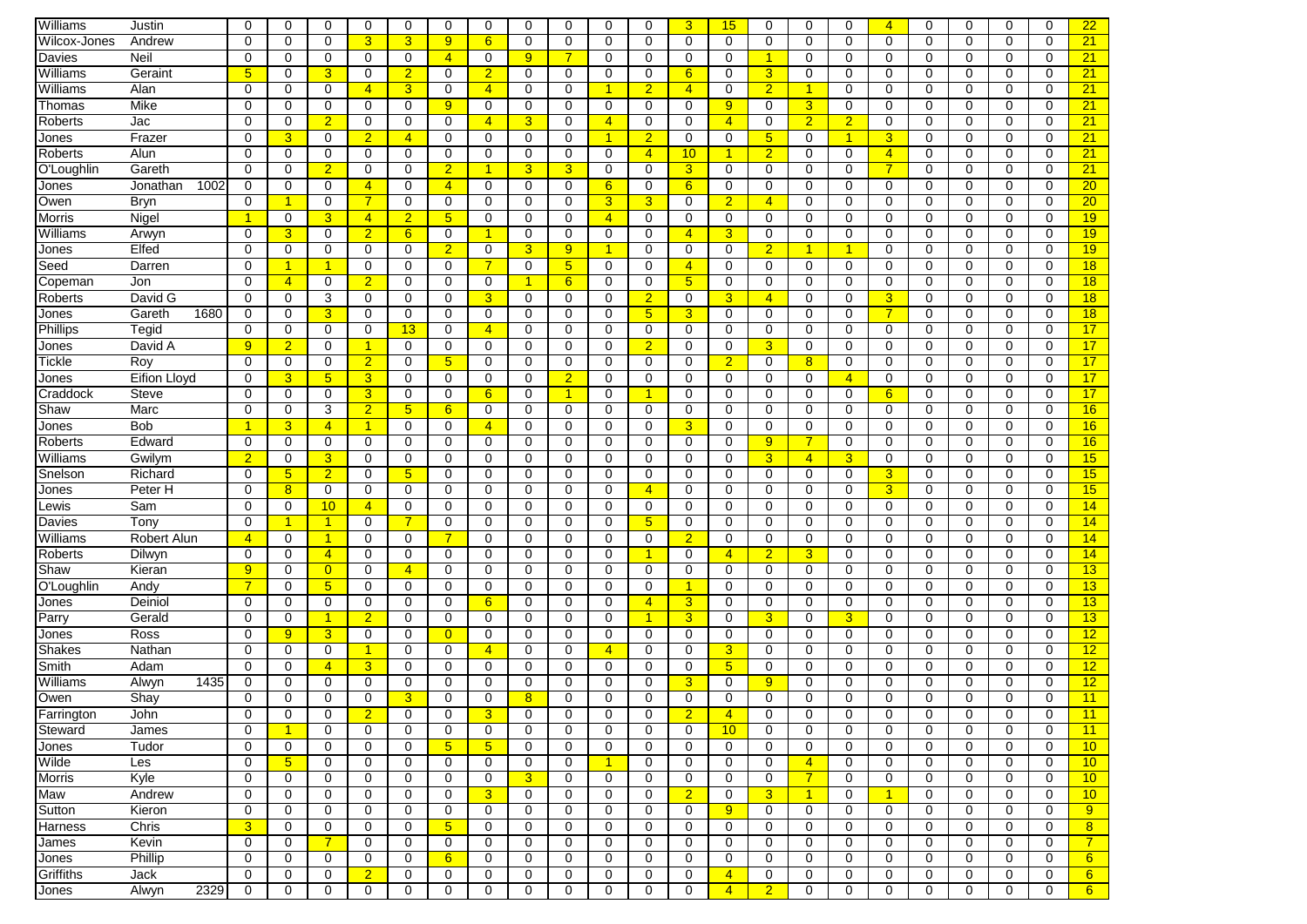| Williams      | Justin              | $\Omega$       | 0                    | $\Omega$             | 0              | 0               | $\Omega$        | 0                    | 0              | 0                    | 0              | 0              | 3              | 15             | 0                    | 0              | $\mathbf 0$      | $\overline{4}$       | $\Omega$    | 0           | $\Omega$    | 0           | 22              |
|---------------|---------------------|----------------|----------------------|----------------------|----------------|-----------------|-----------------|----------------------|----------------|----------------------|----------------|----------------|----------------|----------------|----------------------|----------------|------------------|----------------------|-------------|-------------|-------------|-------------|-----------------|
| Wilcox-Jones  | Andrew              | 0              | $\mathbf 0$          | $\mathbf 0$          | $\overline{3}$ | 3               | 9 <sup>°</sup>  | 6                    | $\mathbf 0$    | $\mathbf 0$          | 0              | 0              | 0              | $\mathbf 0$    | $\mathbf 0$          | $\mathbf 0$    | $\mathbf 0$      | $\mathbf 0$          | $\mathbf 0$ | $\mathbf 0$ | 0           | $\mathbf 0$ | 21              |
| Davies        | Neil                | 0              | $\mathbf 0$          | $\mathbf 0$          | 0              | $\mathbf 0$     | $\overline{4}$  | $\mathbf 0$          | 9              | $\overline{7}$       | 0              | 0              | 0              | $\mathbf 0$    | $\blacktriangleleft$ | $\mathbf 0$    | $\mathbf 0$      | 0                    | 0           | $\mathbf 0$ | 0           | $\mathbf 0$ | 21              |
| Williams      | Geraint             | 5 <sup>5</sup> | 0                    | 3                    | 0              | $\overline{2}$  | 0               | $\overline{2}$       | 0              | $\mathbf 0$          | 0              | 0              | 6              | $\mathbf 0$    | 3                    | 0              | 0                | 0                    | 0           | $\mathbf 0$ | 0           | $\mathbf 0$ | 21              |
| Williams      | Alan                | 0              | $\mathbf 0$          | $\mathbf 0$          | $\overline{4}$ | 3               | $\mathbf 0$     | $\overline{4}$       | 0              | $\mathbf 0$          | 1              | $\overline{2}$ | $\overline{4}$ | $\mathbf 0$    | $\overline{2}$       | $\mathbf{1}$   | $\mathbf 0$      | 0                    | $\mathbf 0$ | $\mathbf 0$ | 0           | $\mathbf 0$ | 21              |
| Thomas        | Mike                | 0              | $\mathbf 0$          | $\mathbf 0$          | $\Omega$       | 0               | 9 <sup>°</sup>  | 0                    | 0              | $\mathbf 0$          | 0              | 0              | $\Omega$       | 9              | $\mathbf{0}$         | $\overline{3}$ | $\mathbf 0$      | 0                    | $\Omega$    | $\Omega$    | 0           | 0           | 21              |
| Roberts       | Jac                 | $\Omega$       | 0                    | $\overline{2}$       | 0              | 0               | 0               | $\overline{4}$       | 3              | 0                    | $\overline{4}$ | 0              | 0              | $\overline{4}$ | 0                    | $\overline{2}$ | $\overline{2}$   | 0                    | 0           | 0           | 0           | 0           | 21              |
| Jones         | Frazer              | 0              | 3                    | 0                    | $\overline{2}$ | $\overline{4}$  | $\mathbf 0$     | 0                    | 0              | $\mathbf 0$          | $\mathbf{1}$   | $\overline{2}$ | 0              | 0              | 5 <sup>5</sup>       | 0              | 1                | 3                    | 0           | 0           | $\mathbf 0$ | 0           | 21              |
| Roberts       | Alun                | 0              | $\Omega$             | $\Omega$             | $\Omega$       | $\mathbf 0$     | $\Omega$        | $\Omega$             | $\Omega$       | $\Omega$             | 0              | $\overline{4}$ | 10             | -1             | $\overline{2}$       | $\mathbf 0$    | 0                | $\overline{4}$       | $\Omega$    | $\Omega$    | $\Omega$    | $\Omega$    | 21              |
| O'Loughlin    | Gareth              | 0              | 0                    | $\overline{2}$       | 0              | 0               | $\overline{2}$  | $\blacktriangleleft$ | $\overline{3}$ | 3                    | 0              | 0              | 3              | 0              | 0                    | 0              | 0                | $\overline{7}$       | 0           | $\mathbf 0$ | 0           | $\mathbf 0$ | 21              |
| Jones         | 1002<br>Jonathan    | 0              | 0                    | 0                    | $\overline{4}$ | 0               | $\overline{4}$  | 0                    | 0              | $\mathbf 0$          | 6              | 0              | 6              | 0              | 0                    | 0              | $\mathbf 0$      | 0                    | 0           | 0           | 0           | $\mathbf 0$ | 20 <sub>2</sub> |
| Owen          | Bryn                | 0              |                      | $\mathbf 0$          | $\overline{7}$ | $\mathbf 0$     | $\mathbf 0$     | $\mathbf 0$          | $\mathbf 0$    | $\mathbf 0$          | 3              | 3              | 0              | $\overline{2}$ | $\overline{4}$       | $\mathbf 0$    | $\mathbf 0$      | 0                    | 0           | $\mathbf 0$ | 0           | $\mathbf 0$ | 20              |
| Morris        | Nigel               |                | $\mathbf 0$          | 3                    | $\overline{4}$ | $\overline{2}$  | 5 <sub>5</sub>  | $\mathbf 0$          | $\mathbf 0$    | $\mathbf 0$          | $\overline{4}$ | 0              | 0              | 0              | $\mathbf 0$          | 0              | $\mathbf 0$      | 0                    | 0           | $\mathbf 0$ | 0           | $\mathbf 0$ | 19              |
| Williams      |                     | 0              | 3                    | $\mathbf 0$          | $\overline{2}$ | 6               | 0               | 1                    | 0              | $\mathbf 0$          | 0              | 0              | $\overline{4}$ | 3              | 0                    | 0              | $\mathbf 0$      | 0                    | $\mathbf 0$ | $\mathbf 0$ | 0           | $\mathbf 0$ | 19              |
|               | Arwyn<br>Elfed      | $\Omega$       | $\mathbf 0$          | $\mathbf 0$          | 0              | 0               | $\overline{2}$  | 0                    | 3              | 9                    | 1              | 0              | 0              | 0              | $\overline{2}$       | -1             | -1               | 0                    | 0           | $\Omega$    | 0           | 0           | 19              |
| Jones         |                     | 0              | 1                    | $\blacktriangleleft$ | 0              | $\mathbf 0$     | $\Omega$        | $\overline{7}$       | $\mathbf 0$    |                      | 0              | 0              | $\overline{4}$ | $\Omega$       | $\mathbf 0$          | $\mathbf 0$    |                  | $\Omega$             | $\Omega$    | $\Omega$    | 0           | $\mathbf 0$ |                 |
| Seed          | Darren              | 0              |                      |                      |                | 0               |                 |                      |                | $5\overline{)}$<br>6 |                |                | 5              |                | $\mathbf 0$          | $\mathbf 0$    | 0<br>$\mathbf 0$ |                      |             | $\mathbf 0$ |             | $\mathbf 0$ | 18              |
| Copeman       | Jon                 |                | $\overline{4}$       | 0                    | $\overline{2}$ |                 | 0               | 0                    | $\overline{1}$ |                      | 0              | 0              |                | 0              |                      |                |                  | 0                    | 0           |             | 0           |             | 18              |
| Roberts       | David G             | 0              | 0                    | 3                    | 0              | 0               | 0               | 3                    | 0              | $\mathbf 0$          | 0              | $\overline{2}$ | 0              | 3              | $\overline{4}$       | 0              | 0                | 3                    | 0           | 0           | 0           | $\Omega$    | 18              |
| Jones         | Gareth<br>1680      | 0              | $\mathbf 0$          | 3                    | 0              | $\mathbf 0$     | 0               | $\mathbf 0$          | $\mathbf 0$    | $\mathbf 0$          | 0              | $\overline{5}$ | 3              | $\mathbf 0$    | $\mathbf 0$          | $\mathbf 0$    | $\mathbf 0$      | $\overline{7}$       | 0           | $\mathbf 0$ | 0           | $\mathbf 0$ | 18              |
| Phillips      | Tegid               | 0              | $\mathbf 0$          | $\mathbf 0$          | $\mathbf 0$    | 13              | 0               | $\overline{4}$       | $\mathbf 0$    | $\mathbf 0$          | 0              | 0              | 0              | $\mathbf 0$    | $\mathbf 0$          | $\mathbf 0$    | $\mathbf 0$      | $\mathbf 0$          | $\mathbf 0$ | $\mathbf 0$ | 0           | $\mathbf 0$ | 17              |
| Jones         | David A             | 9              | $\overline{2}$       | $\mathbf 0$          | $\mathbf{1}$   | $\mathbf 0$     | 0               | 0                    | 0              | $\mathbf 0$          | 0              | $\overline{2}$ | 0              | 0              | 3                    | $\mathbf 0$    | $\mathbf 0$      | 0                    | 0           | $\mathbf 0$ | 0           | $\mathbf 0$ | 17              |
| Tickle        | Roy                 | 0              | $\mathbf 0$          | 0                    | $\overline{2}$ | $\mathbf 0$     | $5\phantom{.0}$ | 0                    | 0              | $\mathbf 0$          | 0              | 0              | 0              | $\overline{2}$ | $\mathbf 0$          | 8              | $\mathbf 0$      | 0                    | 0           | $\mathbf 0$ | 0           | $\mathbf 0$ | 17              |
| Jones         | <b>Eifion Lloyd</b> | 0              | 3                    | $5\phantom{1}$       | 3              | $\mathbf 0$     | $\Omega$        | 0                    | 0              | $\overline{2}$       | 0              | 0              | 0              | $\Omega$       | $\mathbf 0$          | 0              | $\overline{4}$   | 0                    | $\Omega$    | $\Omega$    | $\Omega$    | $\mathbf 0$ | 17              |
| Craddock      | <b>Steve</b>        | 0              | 0                    | $\mathbf 0$          | 3              | 0               | 0               | 6                    | 0              | $\mathbf{1}$         | 0              | 1              | $\Omega$       | 0              | 0                    | 0              | $\mathbf 0$      | 6                    | 0           | $\Omega$    | 0           | 0           | 17              |
| Shaw          | Marc                | 0              | 0                    | 3                    | $\overline{2}$ | $5\phantom{.0}$ | 6               | 0                    | 0              | 0                    | 0              | 0              | 0              | 0              | 0                    | 0              | 0                | 0                    | 0           | 0           | 0           | 0           | 16              |
| Jones         | <b>Bob</b>          | -1             | 3                    | $\overline{4}$       | $\mathbf{1}$   | 0               | $\mathbf 0$     | $\overline{4}$       | 0              | $\Omega$             | $\Omega$       | 0              | 3              | 0              | $\Omega$             | $\mathbf 0$    | $\mathbf 0$      | $\Omega$             | $\Omega$    | $\Omega$    | $\Omega$    | 0           | 16              |
| Roberts       | Edward              | $\Omega$       | $\Omega$             | $\Omega$             | $\Omega$       | $\Omega$        | $\Omega$        | $\Omega$             | $\Omega$       | $\Omega$             | $\Omega$       | 0              | $\Omega$       | $\Omega$       | 9 <sup>°</sup>       | $\overline{7}$ | $\mathbf 0$      | $\Omega$             | $\Omega$    | $\Omega$    | $\Omega$    | $\Omega$    | 16              |
| Williams      | Gwilym              | $\overline{2}$ | $\mathbf 0$          | 3                    | 0              | 0               | 0               | 0                    | $\mathbf 0$    | $\mathbf 0$          | 0              | 0              | 0              | 0              | 3                    | $\overline{4}$ | $\overline{3}$   | 0                    | 0           | 0           | 0           | $\mathbf 0$ | 15              |
| Snelson       | Richard             | 0              | 5                    | $\overline{2}$       | 0              | 5               | 0               | 0                    | 0              | $\mathbf 0$          | 0              | 0              | 0              | 0              | 0                    | 0              | $\mathbf 0$      | 3                    | 0           | 0           | 0           | $\Omega$    | 15              |
| Jones         | Peter H             | 0              | 8                    | $\mathbf 0$          | 0              | $\mathbf 0$     | $\Omega$        | $\mathbf 0$          | $\mathbf 0$    | $\mathbf 0$          | 0              | $\overline{4}$ | 0              | 0              | $\mathbf 0$          | $\mathbf 0$    | $\mathbf 0$      | 3                    | 0           | $\mathbf 0$ | 0           | $\mathbf 0$ | 15              |
| ∟ewis         | Sam                 | 0              | $\mathbf 0$          | 10                   | 4              | $\mathbf 0$     | $\mathbf 0$     | $\mathbf 0$          | $\mathbf 0$    | $\mathbf 0$          | 0              | 0              | 0              | $\mathbf 0$    | $\mathbf 0$          | 0              | $\mathbf 0$      | $\mathbf 0$          | 0           | $\mathbf 0$ | 0           | $\mathbf 0$ | 14              |
| Davies        | Tony                | 0              | 1                    | $\overline{1}$       | 0              | $\overline{7}$  | 0               | 0                    | 0              | $\mathbf 0$          | 0              | 5              | 0              | 0              | 0                    | 0              | 0                | 0                    | 0           | 0           | 0           | 0           | 14              |
| Williams      | Robert Alun         | $\overline{4}$ | 0                    | $\overline{1}$       | 0              | 0               | 7               | 0                    | 0              | $\Omega$             | 0              | 0              | $\overline{2}$ | 0              | 0                    | 0              | $\mathbf 0$      | 0                    | $\Omega$    | $\Omega$    | $\Omega$    | 0           | 14              |
| Roberts       | Dilwyn              | 0              | 0                    | $\overline{4}$       | 0              | $\mathbf 0$     | 0               | 0                    | 0              | $\mathbf 0$          | 0              | 1              | 0              | $\overline{4}$ | $\overline{2}$       | 3              | 0                | 0                    | 0           | $\Omega$    | 0           | 0           | 14              |
| Shaw          | Kieran              | 9              | 0                    | $\overline{0}$       | 0              | $\overline{4}$  | 0               | 0                    | 0              | $\mathbf 0$          | 0              | 0              | 0              | 0              | 0                    | 0              | $\mathbf 0$      | 0                    | 0           | 0           | 0           | 0           | 13              |
| O'Loughlin    | Andy                | $\overline{7}$ | $\mathbf 0$          | $5\phantom{.0}$      | 0              | 0               | 0               | 0                    | 0              | $\mathbf 0$          | 0              | 0              | 1              | $\mathbf 0$    | $\mathbf 0$          | 0              | $\mathbf 0$      | 0                    | 0           | $\mathbf 0$ | 0           | $\Omega$    | 13              |
| Jones         | Deiniol             | 0              | $\mathbf 0$          | $\mathbf 0$          | $\mathbf 0$    | $\mathbf 0$     | 0               | 6                    | $\mathbf 0$    | $\mathbf 0$          | 0              | $\overline{4}$ | 3              | 0              | $\mathbf 0$          | $\mathbf 0$    | $\mathbf 0$      | $\mathbf 0$          | $\mathbf 0$ | $\mathbf 0$ | 0           | $\mathbf 0$ | 13              |
| Parry         | Gerald              | 0              | $\mathbf 0$          | $\overline{1}$       | $\overline{2}$ | $\mathbf 0$     | 0               | $\mathbf 0$          | 0              | $\mathbf 0$          | 0              | $\overline{1}$ | 3              | $\mathbf 0$    | 3                    | 0              | 3                | 0                    | 0           | $\mathbf 0$ | 0           | $\mathbf 0$ | 13              |
| Jones         | Ross                | 0              | 9                    | 3                    | 0              | $\mathbf 0$     | $\overline{0}$  | 0                    | 0              | $\mathbf 0$          | 0              | 0              | 0              | $\mathbf 0$    | $\mathbf 0$          | 0              | $\mathbf 0$      | 0                    | 0           | $\mathbf 0$ | 0           | $\mathbf 0$ | 12              |
| <b>Shakes</b> | Nathan              | 0              | $\mathbf 0$          | 0                    | $\mathbf{1}$   | $\mathbf 0$     | $\mathbf 0$     | $\overline{4}$       | $\mathbf 0$    | $\mathbf 0$          | $\overline{4}$ | 0              | 0              | 3              | 0                    | 0              | $\mathbf 0$      | 0                    | 0           | $\mathbf 0$ | $\mathbf 0$ | $\mathbf 0$ | 12              |
| Smith         | Adam                | 0              | 0                    | $\overline{4}$       | 3              | 0               | 0               | 0                    | 0              | 0                    | 0              | 0              | 0              | $\sqrt{5}$     | 0                    | 0              | 0                | 0                    | $\Omega$    | $\Omega$    | 0           | 0           | 12              |
| Williams      | 1435<br>Alwyn       | 0              | $\mathbf 0$          | $\mathbf 0$          | 0              | $\mathbf 0$     | 0               | 0                    | $\mathbf 0$    | $\mathbf 0$          | 0              | 0              | 3              | $\mathbf 0$    | 9                    | 0              | $\mathbf 0$      | 0                    | 0           | $\mathbf 0$ | 0           | $\mathbf 0$ | 12              |
| Owen          | Shay                | 0              | 0                    | 0                    | 0              | 3               | $\Omega$        | $\Omega$             | 8              | $\Omega$             | 0              | 0              | 0              | $\Omega$       | $\Omega$             | 0              | $\Omega$         | 0                    | $\Omega$    | $\Omega$    | 0           | $\mathbf 0$ | 11              |
| ∥Farrington   | John                | 0              | 0                    | 0                    | z              | U               | 0               | 3                    | U              | 0                    | 0              | U              | $\overline{2}$ | $\overline{4}$ | 0                    | 0              | 0                | U                    | U           | 0           | 0           | $\pmb{0}$   | 11              |
| Steward       | James               | 0              | $\blacktriangleleft$ | $\mathbf 0$          | $\mathbf 0$    | $\mathbf 0$     | $\mathbf 0$     | $\mathbf 0$          | $\mathbf 0$    | $\mathbf 0$          | $\mathbf 0$    | 0              | $\mathbf 0$    | 10             | $\mathbf 0$          | $\mathbf 0$    | $\mathbf 0$      | $\mathbf 0$          | $\mathbf 0$ | $\mathbf 0$ | $\mathbf 0$ | $\mathbf 0$ | 11              |
| Jones         | Tudor               | $\mathbf 0$    | 0                    | 0                    | $\mathbf 0$    | 0               | 5 <sup>5</sup>  | 5 <sup>5</sup>       | 0              | $\mathbf 0$          | 0              | 0              | 0              | 0              | 0                    | 0              | 0                | 0                    | 0           | 0           | 0           | 0           | 10              |
| Wilde         | Les                 | 0              | 5 <sub>5</sub>       | $\mathbf 0$          | 0              | 0               | 0               | 0                    | 0              | 0                    | 1              | 0              | 0              | 0              | 0                    | $\overline{4}$ | 0                | 0                    | 0           | $\mathbf 0$ | 0           | 0           | 10              |
| Morris        | Kyle                | 0              | 0                    | 0                    | $\mathbf 0$    | 0               | 0               | 0                    | $\overline{3}$ | $\mathbf 0$          | 0              | 0              | 0              | 0              | 0                    | $\overline{7}$ | 0                | 0                    | $\mathbf 0$ | $\mathbf 0$ | 0           | 0           | 10              |
| Maw           | Andrew              | 0              | $\mathbf 0$          | 0                    | 0              | 0               | 0               | 3                    | 0              | $\mathbf 0$          | 0              | 0              | $\overline{2}$ | 0              | 3 <sup>5</sup>       | $\mathbf{1}$   | 0                | $\blacktriangleleft$ | 0           | $\mathbf 0$ | 0           | 0           | 10              |
| Sutton        | Kieron              | 0              | 0                    | 0                    | 0              | 0               | 0               | 0                    | 0              | 0                    | 0              | 0              | 0              | 9 <sup>°</sup> | 0                    | 0              | 0                | 0                    | 0           | 0           | 0           | 0           | 9               |
| Harness       | Chris               | 3 <sup>2</sup> | $\mathbf 0$          | $\mathbf 0$          | $\mathbf 0$    | 0               | 5 <sup>5</sup>  | 0                    | 0              | $\mathbf 0$          | 0              | 0              | $\mathbf 0$    | 0              | 0                    | 0              | 0                | $\mathbf 0$          | 0           | $\mathbf 0$ | 0           | 0           | 8               |
| James         | Kevin               | 0              | 0                    | $\overline{7}$       | 0              | $\mathbf 0$     | 0               | 0                    | 0              | $\mathbf 0$          | 0              | 0              | 0              | 0              | 0                    | 0              | 0                | 0                    | 0           | 0           | 0           | $\mathbf 0$ | $\overline{7}$  |
| Jones         | Phillip             | $\mathbf 0$    | 0                    | 0                    | $\mathbf 0$    | 0               | 6               | 0                    | $\mathbf 0$    | $\mathbf 0$          | 0              | 0              | $\mathbf 0$    | 0              | 0                    | 0              | 0                | $\mathbf 0$          | $\mathbf 0$ | $\mathbf 0$ | 0           | 0           | 6               |
| Griffiths     | Jack                | 0              | 0                    | 0                    | $\overline{2}$ | 0               | 0               | 0                    | 0              | 0                    | 0              | 0              | 0              | $\overline{4}$ | 0                    | 0              | 0                | 0                    | 0           | $\mathbf 0$ | 0           | 0           | $6^{\circ}$     |
| Jones         | 2329<br>Alwyn       | $\mathbf 0$    | 0                    | $\mathbf 0$          | 0              | 0               | 0               | 0                    | 0              | $\mathbf 0$          | 0              | 0              | 0              | $\overline{4}$ | $\overline{2}$       | 0              | 0                | 0                    | 0           | 0           | 0           | 0           | 6               |
|               |                     |                |                      |                      |                |                 |                 |                      |                |                      |                |                |                |                |                      |                |                  |                      |             |             |             |             |                 |